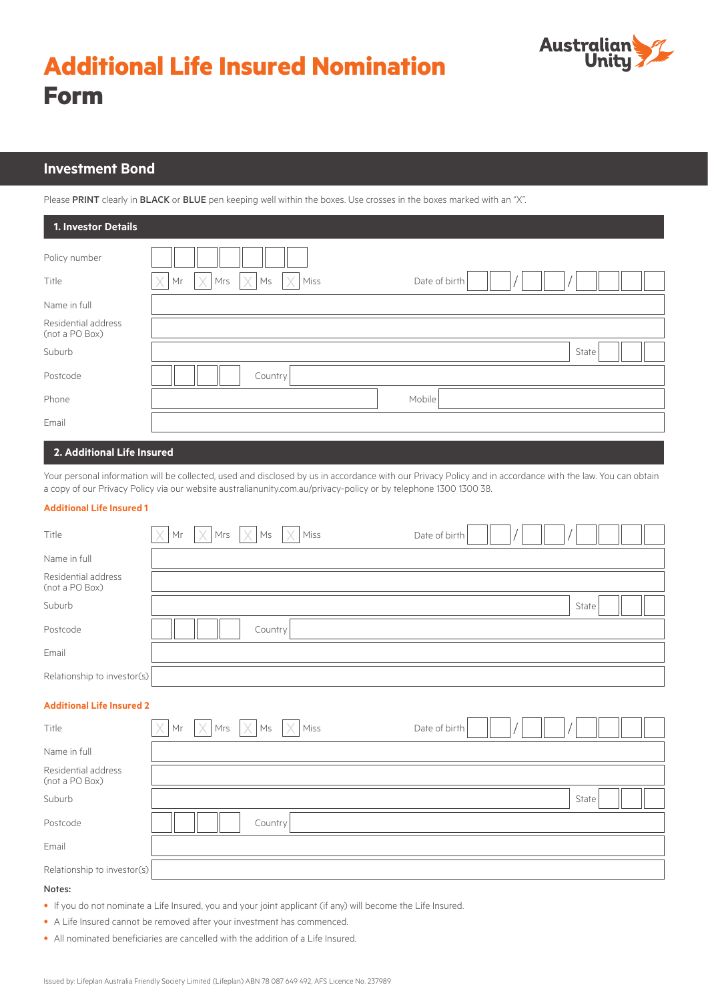



## **Investment Bond**

Please PRINT clearly in BLACK or BLUE pen keeping well within the boxes. Use crosses in the boxes marked with an "X".

| 1. Investor Details                   |                                                                                         |
|---------------------------------------|-----------------------------------------------------------------------------------------|
| Policy number                         |                                                                                         |
| Title                                 | Mrs $\vert \times \vert$ Ms<br>$\times$<br>X<br>$\times$<br>Miss<br>Mr<br>Date of birth |
| Name in full                          |                                                                                         |
| Residential address<br>(not a PO Box) |                                                                                         |
| Suburb                                | State                                                                                   |
| Postcode                              | Country                                                                                 |
| Phone                                 | Mobile                                                                                  |
| Email                                 |                                                                                         |
| O. Additional Life Incomed.           |                                                                                         |

#### **2. Additional Life Insured**

Your personal information will be collected, used and disclosed by us in accordance with our Privacy Policy and in accordance with the law. You can obtain a copy of our Privacy Policy via our website australianunity.com.au/privacy-policy or by telephone 1300 1300 38.

#### **Additional Life Insured 1**

|                             |  |                                                                       | Date of birth |  |       |  |
|-----------------------------|--|-----------------------------------------------------------------------|---------------|--|-------|--|
|                             |  |                                                                       |               |  |       |  |
|                             |  |                                                                       |               |  |       |  |
|                             |  |                                                                       |               |  | State |  |
|                             |  |                                                                       |               |  |       |  |
|                             |  |                                                                       |               |  |       |  |
| Relationship to investor(s) |  |                                                                       |               |  |       |  |
|                             |  | $ \times $ Mr $ \times $ Mrs $ \times $ Ms $ \times $ Miss<br>Country |               |  |       |  |

#### **Additional Life Insured 2**

| Title                                 | $\times$ Mr | $\times$ | $Mrs$ $\chi$ Ms | $\times$ Miss | Date of birth |  |       |  |
|---------------------------------------|-------------|----------|-----------------|---------------|---------------|--|-------|--|
| Name in full                          |             |          |                 |               |               |  |       |  |
| Residential address<br>(not a PO Box) |             |          |                 |               |               |  |       |  |
| Suburb                                |             |          |                 |               |               |  | State |  |
| Postcode                              |             |          | Country         |               |               |  |       |  |
| Email                                 |             |          |                 |               |               |  |       |  |
| Relationship to investor(s)           |             |          |                 |               |               |  |       |  |

#### Notes:

- If you do not nominate a Life Insured, you and your joint applicant (if any) will become the Life Insured.
- A Life Insured cannot be removed after your investment has commenced.
- All nominated beneficiaries are cancelled with the addition of a Life Insured.